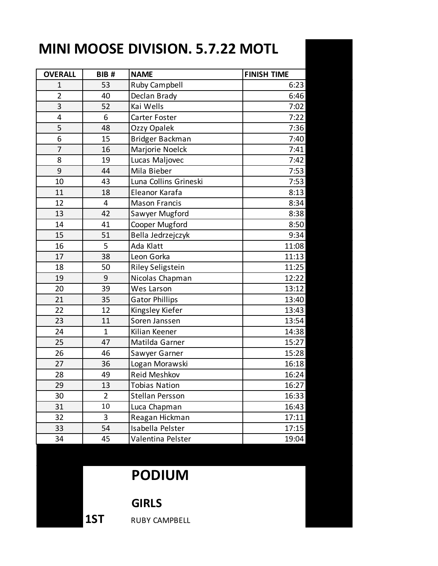## **MINI MOOSE DIVISION. 5.7.22 MOTL**

| <b>OVERALL</b> | BIB#           | <b>NAME</b>             | <b>FINISH TIME</b> |
|----------------|----------------|-------------------------|--------------------|
| $\mathbf 1$    | 53             | <b>Ruby Campbell</b>    | 6:23               |
| $\overline{2}$ | 40             | Declan Brady            | 6:46               |
| 3              | 52             | Kai Wells               | 7:02               |
| 4              | 6              | Carter Foster           | 7:22               |
| 5              | 48             | Ozzy Opalek             | 7:36               |
| 6              | 15             | Bridger Backman         | 7:40               |
| $\overline{7}$ | 16             | Marjorie Noelck         | 7:41               |
| 8              | 19             | Lucas Maljovec          | 7:42               |
| 9              | 44             | Mila Bieber             | 7:53               |
| 10             | 43             | Luna Collins Grineski   | 7:53               |
| 11             | 18             | Eleanor Karafa          | 8:13               |
| 12             | 4              | <b>Mason Francis</b>    | 8:34               |
| 13             | 42             | Sawyer Mugford          | 8:38               |
| 14             | 41             | Cooper Mugford          | 8:50               |
| 15             | 51             | Bella Jedrzejczyk       | 9:34               |
| 16             | 5              | Ada Klatt               | 11:08              |
| 17             | 38             | Leon Gorka              | 11:13              |
| 18             | 50             | <b>Riley Seligstein</b> | 11:25              |
| 19             | 9              | Nicolas Chapman         | 12:22              |
| 20             | 39             | Wes Larson              | 13:12              |
| 21             | 35             | <b>Gator Phillips</b>   | 13:40              |
| 22             | 12             | Kingsley Kiefer         | 13:43              |
| 23             | 11             | Soren Janssen           | 13:54              |
| 24             | $\mathbf{1}$   | Kilian Keener           | 14:38              |
| 25             | 47             | Matilda Garner          | 15:27              |
| 26             | 46             | Sawyer Garner           | 15:28              |
| 27             | 36             | Logan Morawski          | 16:18              |
| 28             | 49             | Reid Meshkov            | 16:24              |
| 29             | 13             | <b>Tobias Nation</b>    | 16:27              |
| 30             | $\overline{2}$ | Stellan Persson         | 16:33              |
| 31             | 10             | Luca Chapman            | 16:43              |
| 32             | 3              | Reagan Hickman          | 17:11              |
| 33             | 54             | Isabella Pelster        | 17:15              |
| 34             | 45             | Valentina Pelster       | 19:04              |

## **PODIUM**

## **GIRLS**

1ST RUBY CAMPBELL